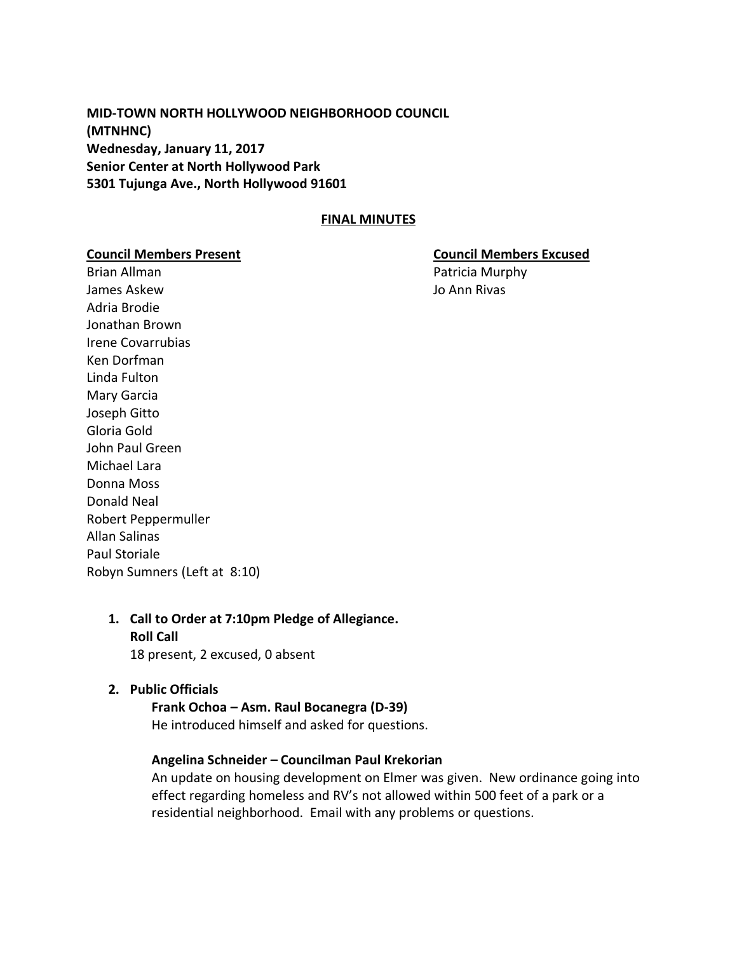**MID-TOWN NORTH HOLLYWOOD NEIGHBORHOOD COUNCIL (MTNHNC) Wednesday, January 11, 2017 Senior Center at North Hollywood Park 5301 Tujunga Ave., North Hollywood 91601**

#### **FINAL MINUTES**

Brian Allman **Patricia Murphy** James Askew Jo Ann Rivas Adria Brodie Jonathan Brown Irene Covarrubias Ken Dorfman Linda Fulton Mary Garcia Joseph Gitto Gloria Gold John Paul Green Michael Lara Donna Moss Donald Neal Robert Peppermuller Allan Salinas Paul Storiale Robyn Sumners (Left at 8:10)

#### **Council Members Present Council Members Excused**

## **1. Call to Order at 7:10pm Pledge of Allegiance. Roll Call**  18 present, 2 excused, 0 absent

#### **2. Public Officials**

**Frank Ochoa – Asm. Raul Bocanegra (D-39)** He introduced himself and asked for questions.

#### **Angelina Schneider – Councilman Paul Krekorian**

An update on housing development on Elmer was given. New ordinance going into effect regarding homeless and RV's not allowed within 500 feet of a park or a residential neighborhood. Email with any problems or questions.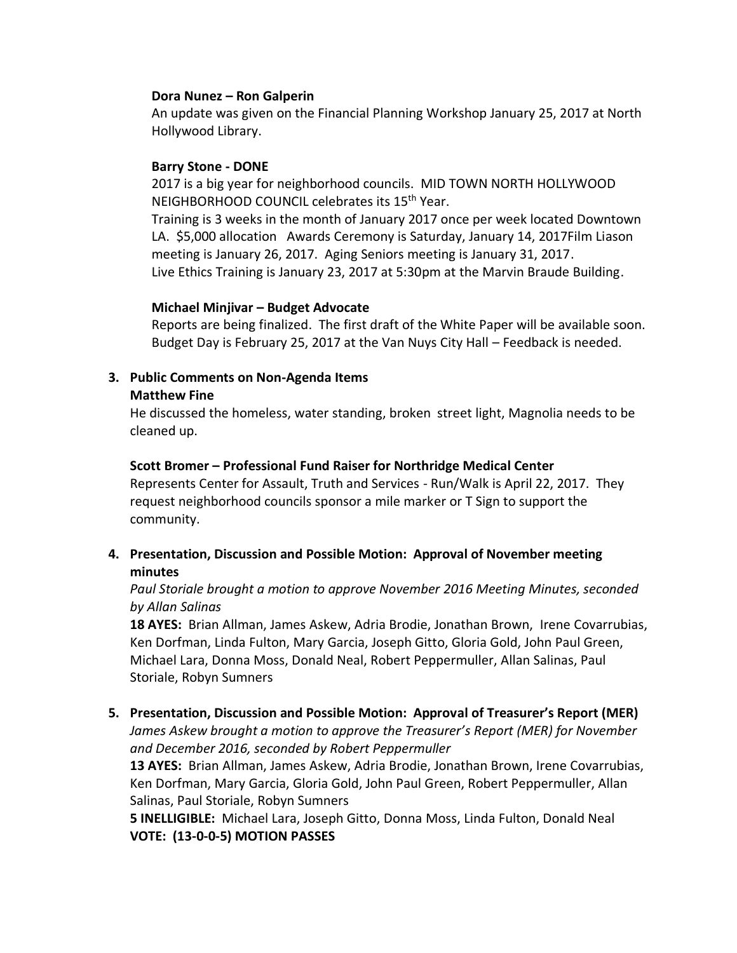#### **Dora Nunez – Ron Galperin**

An update was given on the Financial Planning Workshop January 25, 2017 at North Hollywood Library.

#### **Barry Stone - DONE**

2017 is a big year for neighborhood councils. MID TOWN NORTH HOLLYWOOD NEIGHBORHOOD COUNCIL celebrates its 15th Year.

Training is 3 weeks in the month of January 2017 once per week located Downtown LA. \$5,000 allocation Awards Ceremony is Saturday, January 14, 2017Film Liason meeting is January 26, 2017. Aging Seniors meeting is January 31, 2017. Live Ethics Training is January 23, 2017 at 5:30pm at the Marvin Braude Building.

#### **Michael Minjivar – Budget Advocate**

Reports are being finalized. The first draft of the White Paper will be available soon. Budget Day is February 25, 2017 at the Van Nuys City Hall – Feedback is needed.

## **3. Public Comments on Non-Agenda Items**

#### **Matthew Fine**

He discussed the homeless, water standing, broken street light, Magnolia needs to be cleaned up.

## **Scott Bromer – Professional Fund Raiser for Northridge Medical Center**

Represents Center for Assault, Truth and Services - Run/Walk is April 22, 2017. They request neighborhood councils sponsor a mile marker or T Sign to support the community.

# **4. Presentation, Discussion and Possible Motion: Approval of November meeting minutes**

# *Paul Storiale brought a motion to approve November 2016 Meeting Minutes, seconded by Allan Salinas*

**18 AYES:**Brian Allman, James Askew, Adria Brodie, Jonathan Brown, Irene Covarrubias, Ken Dorfman, Linda Fulton, Mary Garcia, Joseph Gitto, Gloria Gold, John Paul Green, Michael Lara, Donna Moss, Donald Neal, Robert Peppermuller, Allan Salinas, Paul Storiale, Robyn Sumners

# **5. Presentation, Discussion and Possible Motion: Approval of Treasurer's Report (MER)**

*James Askew brought a motion to approve the Treasurer's Report (MER) for November and December 2016, seconded by Robert Peppermuller*

**13 AYES:**Brian Allman, James Askew, Adria Brodie, Jonathan Brown, Irene Covarrubias, Ken Dorfman, Mary Garcia, Gloria Gold, John Paul Green, Robert Peppermuller, Allan Salinas, Paul Storiale, Robyn Sumners

**5 INELLIGIBLE:** Michael Lara, Joseph Gitto, Donna Moss, Linda Fulton, Donald Neal **VOTE: (13-0-0-5) MOTION PASSES**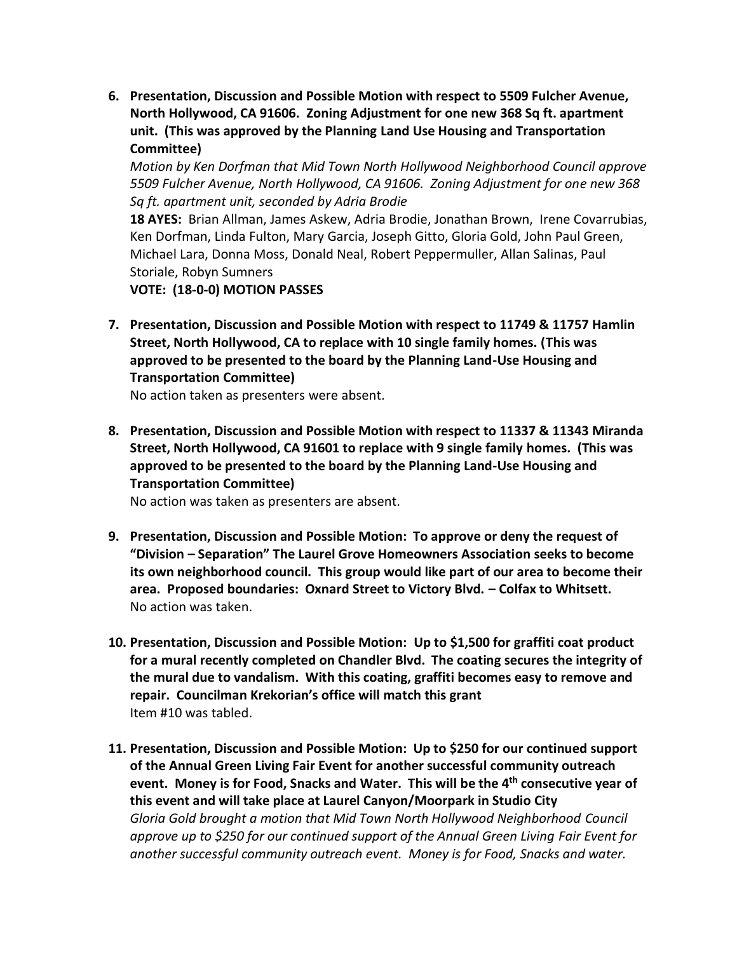**6. Presentation, Discussion and Possible Motion with respect to 5509 Fulcher Avenue, North Hollywood, CA 91606. Zoning Adjustment for one new 368 Sq ft. apartment unit. (This was approved by the Planning Land Use Housing and Transportation Committee)**

*Motion by Ken Dorfman that Mid Town North Hollywood Neighborhood Council approve 5509 Fulcher Avenue, North Hollywood, CA 91606. Zoning Adjustment for one new 368 Sq ft. apartment unit, seconded by Adria Brodie*

**18 AYES:**Brian Allman, James Askew, Adria Brodie, Jonathan Brown, Irene Covarrubias, Ken Dorfman, Linda Fulton, Mary Garcia, Joseph Gitto, Gloria Gold, John Paul Green, Michael Lara, Donna Moss, Donald Neal, Robert Peppermuller, Allan Salinas, Paul Storiale, Robyn Sumners

**VOTE: (18-0-0) MOTION PASSES**

**7. Presentation, Discussion and Possible Motion with respect to 11749 & 11757 Hamlin Street, North Hollywood, CA to replace with 10 single family homes. (This was approved to be presented to the board by the Planning Land-Use Housing and Transportation Committee)**

No action taken as presenters were absent.

**8. Presentation, Discussion and Possible Motion with respect to 11337 & 11343 Miranda Street, North Hollywood, CA 91601 to replace with 9 single family homes. (This was approved to be presented to the board by the Planning Land-Use Housing and Transportation Committee)**

No action was taken as presenters are absent.

- **9. Presentation, Discussion and Possible Motion: To approve or deny the request of "Division – Separation" The Laurel Grove Homeowners Association seeks to become its own neighborhood council. This group would like part of our area to become their area. Proposed boundaries: Oxnard Street to Victory Blvd. – Colfax to Whitsett.** No action was taken.
- **10. Presentation, Discussion and Possible Motion: Up to \$1,500 for graffiti coat product for a mural recently completed on Chandler Blvd. The coating secures the integrity of the mural due to vandalism. With this coating, graffiti becomes easy to remove and repair. Councilman Krekorian's office will match this grant** Item #10 was tabled.
- **11. Presentation, Discussion and Possible Motion: Up to \$250 for our continued support of the Annual Green Living Fair Event for another successful community outreach event. Money is for Food, Snacks and Water. This will be the 4th consecutive year of this event and will take place at Laurel Canyon/Moorpark in Studio City** *Gloria Gold brought a motion that Mid Town North Hollywood Neighborhood Council approve up to \$250 for our continued support of the Annual Green Living Fair Event for another successful community outreach event. Money is for Food, Snacks and water.*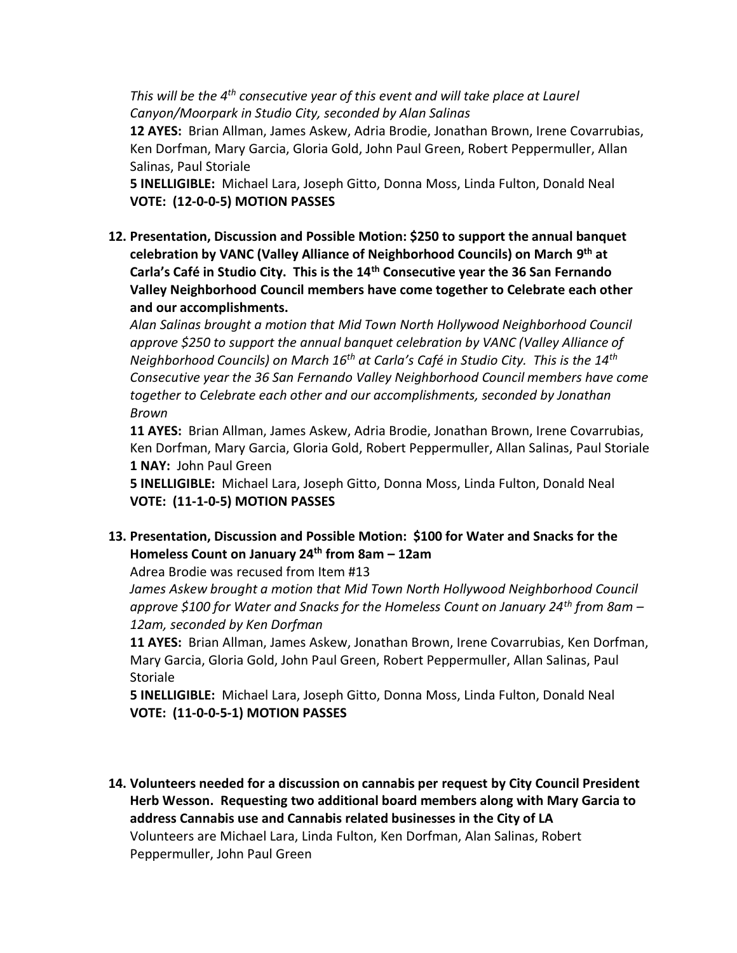*This will be the 4th consecutive year of this event and will take place at Laurel Canyon/Moorpark in Studio City, seconded by Alan Salinas*

**12 AYES:**Brian Allman, James Askew, Adria Brodie, Jonathan Brown, Irene Covarrubias, Ken Dorfman, Mary Garcia, Gloria Gold, John Paul Green, Robert Peppermuller, Allan Salinas, Paul Storiale

**5 INELLIGIBLE:** Michael Lara, Joseph Gitto, Donna Moss, Linda Fulton, Donald Neal **VOTE: (12-0-0-5) MOTION PASSES**

**12. Presentation, Discussion and Possible Motion: \$250 to support the annual banquet celebration by VANC (Valley Alliance of Neighborhood Councils) on March 9 th at Carla's Café in Studio City. This is the 14th Consecutive year the 36 San Fernando Valley Neighborhood Council members have come together to Celebrate each other and our accomplishments.**

*Alan Salinas brought a motion that Mid Town North Hollywood Neighborhood Council approve \$250 to support the annual banquet celebration by VANC (Valley Alliance of Neighborhood Councils) on March 16th at Carla's Café in Studio City. This is the 14th Consecutive year the 36 San Fernando Valley Neighborhood Council members have come together to Celebrate each other and our accomplishments, seconded by Jonathan Brown*

**11 AYES:**Brian Allman, James Askew, Adria Brodie, Jonathan Brown, Irene Covarrubias, Ken Dorfman, Mary Garcia, Gloria Gold, Robert Peppermuller, Allan Salinas, Paul Storiale **1 NAY:** John Paul Green

**5 INELLIGIBLE:** Michael Lara, Joseph Gitto, Donna Moss, Linda Fulton, Donald Neal **VOTE: (11-1-0-5) MOTION PASSES**

**13. Presentation, Discussion and Possible Motion: \$100 for Water and Snacks for the Homeless Count on January 24th from 8am – 12am**

Adrea Brodie was recused from Item #13

*James Askew brought a motion that Mid Town North Hollywood Neighborhood Council approve \$100 for Water and Snacks for the Homeless Count on January 24th from 8am – 12am, seconded by Ken Dorfman*

**11 AYES:**Brian Allman, James Askew, Jonathan Brown, Irene Covarrubias, Ken Dorfman, Mary Garcia, Gloria Gold, John Paul Green, Robert Peppermuller, Allan Salinas, Paul **Storiale** 

**5 INELLIGIBLE:** Michael Lara, Joseph Gitto, Donna Moss, Linda Fulton, Donald Neal **VOTE: (11-0-0-5-1) MOTION PASSES**

**14. Volunteers needed for a discussion on cannabis per request by City Council President Herb Wesson. Requesting two additional board members along with Mary Garcia to address Cannabis use and Cannabis related businesses in the City of LA** Volunteers are Michael Lara, Linda Fulton, Ken Dorfman, Alan Salinas, Robert Peppermuller, John Paul Green